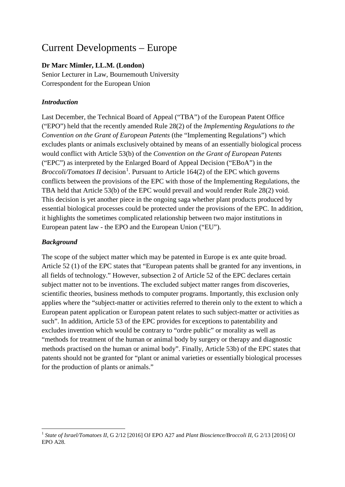# Current Developments – Europe

## **Dr Marc Mimler, LL.M. (London)**

Senior Lecturer in Law, Bournemouth University Correspondent for the European Union

## *Introduction*

Last December, the Technical Board of Appeal ("TBA") of the European Patent Office ("EPO") held that the recently amended Rule 28(2) of the *Implementing Regulations to the Convention on the Grant of European Patents* (the "Implementing Regulations") which excludes plants or animals exclusively obtained by means of an essentially biological process would conflict with Article 53(b) of the *Convention on the Grant of European Patents* ("EPC") as interpreted by the Enlarged Board of Appeal Decision ("EBoA") in the *Broccoli/Tomatoes II* decision<sup>[1](#page-0-0)</sup>. Pursuant to Article 164(2) of the EPC which governs conflicts between the provisions of the EPC with those of the Implementing Regulations, the TBA held that Article 53(b) of the EPC would prevail and would render Rule 28(2) void. This decision is yet another piece in the ongoing saga whether plant products produced by essential biological processes could be protected under the provisions of the EPC. In addition, it highlights the sometimes complicated relationship between two major institutions in European patent law - the EPO and the European Union ("EU").

## *Background*

The scope of the subject matter which may be patented in Europe is ex ante quite broad. Article 52 (1) of the EPC states that "European patents shall be granted for any inventions, in all fields of technology." However, subsection 2 of Article 52 of the EPC declares certain subject matter not to be inventions. The excluded subject matter ranges from discoveries, scientific theories, business methods to computer programs. Importantly, this exclusion only applies where the "subject-matter or activities referred to therein only to the extent to which a European patent application or European patent relates to such subject-matter or activities as such". In addition, Article 53 of the EPC provides for exceptions to patentability and excludes invention which would be contrary to "ordre public" or morality as well as "methods for treatment of the human or animal body by surgery or therapy and diagnostic methods practised on the human or animal body". Finally, Article 53b) of the EPC states that patents should not be granted for "plant or animal varieties or essentially biological processes for the production of plants or animals."

<span id="page-0-0"></span><sup>1</sup> *State of Israel/Tomatoes II*, G 2/12 [2016] OJ EPO A27 and *Plant Bioscience/Broccoli II,* G 2/13 [2016] OJ EPO A28*.*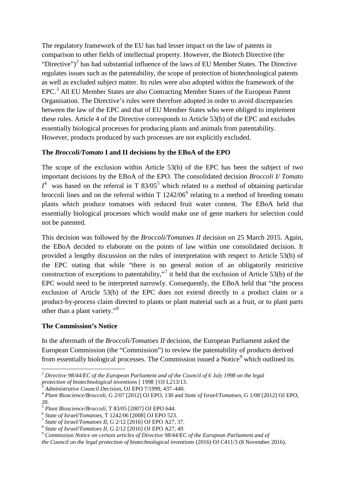The regulatory framework of the EU has had lesser impact on the law of patents in comparison to other fields of intellectual property. However, the Biotech Directive (the "Directive")<sup>[2](#page-1-0)</sup> has had substantial influence of the laws of EU Member States. The Directive regulates issues such as the patentability, the scope of protection of biotechnological patents as well as excluded subject matter. Its rules were also adopted within the framework of the EPC.<sup>[3](#page-1-1)</sup> All EU Member States are also Contracting Member States of the European Patent Organisation. The Directive's rules were therefore adopted in order to avoid discrepancies between the law of the EPC and that of EU Member States who were obliged to implement these rules. Article 4 of the Directive corresponds to Article 53(b) of the EPC and excludes essentially biological processes for producing plants and animals from patentability. However, products produced by such processes are not explicitly excluded.

### **The** *Broccoli/Tomato* **I and II decisions by the EBoA of the EPO**

The scope of the exclusion within Article 53(b) of the EPC has been the subject of two important decisions by the EBoA of the EPO. The consolidated decision *Broccoli I/ Tomato*   $I^4$  $I^4$  was based on the referral in T 83/0[5](#page-1-3)<sup>5</sup> which related to a method of obtaining particular broccoli lines and on the referral within  $T$  1242/0[6](#page-1-4)<sup>6</sup> relating to a method of breeding tomato plants which produce tomatoes with reduced fruit water content. The EBoA held that essentially biological processes which would make use of gene markers for selection could not be patented.

This decision was followed by the *Broccoli/Tomatoes II* decision on 25 March 2015. Again, the EBoA decided to elaborate on the points of law within one consolidated decision. It provided a lengthy discussion on the rules of interpretation with respect to Article 53(b) of the EPC stating that while "there is no general notion of an obligatorily restrictive construction of exceptions to patentability,"<sup>[7](#page-1-5)</sup> it held that the exclusion of Article 53(b) of the EPC would need to be interpreted narrowly. Consequently, the EBoA held that "the process exclusion of Article 53(b) of the EPC does not extend directly to a product claim or a product-by-process claim directed to plants or plant material such as a fruit, or to plant parts other than a plant variety."[8](#page-1-6)

#### **The Commission's Notice**

In the aftermath of the *Broccoli/Tomatoes II* decision, the European Parliament asked the European Commission (the "Commission") to review the patentability of products derived from essentially biological processes. The Commission issued a Notice<sup>[9](#page-1-7)</sup> which outlined its

<span id="page-1-0"></span><sup>&</sup>lt;sup>2</sup> Directive 98/44/EC of the European Parliament and of the Council of 6 July 1998 on the legal protection of biotechnological inventions [ 1998 ] OJ L213/13.

<span id="page-1-2"></span><span id="page-1-1"></span> $3$  Administrative Council Decision, OJ EPO 7/1999, 437–440.<br><sup>4</sup> Plant Bioscience/Broccoli, G 2/07 [2012] OJ EPO, 130 and State of Israel/Tomatoes, G 1/08 [2012] OJ EPO, 20.<br>
<sup>5</sup> Plant Bioscience/Broccoli, T 83/05 [2007] OJ EPO 644.<br>
<sup>6</sup> State of Israel/Tomatoes, T 1242/06 [2008] OJ EPO 523.<br>
<sup>7</sup> State of Israel/Tomatoes II, G 2/12 [2016] OJ EPO A27, 37.<br>
<sup>8</sup> State of Israel/Tomatoes II, G

<span id="page-1-3"></span>

<span id="page-1-4"></span>

<span id="page-1-5"></span>

<span id="page-1-6"></span>

<span id="page-1-7"></span>

*the Council on the legal protection of biotechnological inventions* (2016) OJ C411/3 (8 November 2016).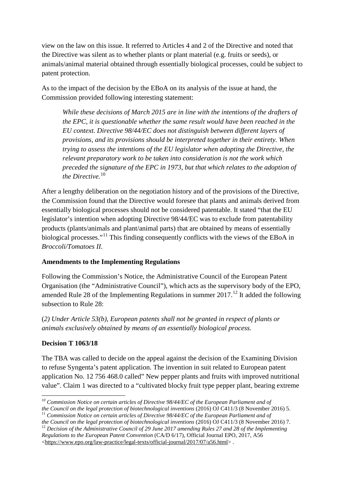view on the law on this issue. It referred to Articles 4 and 2 of the Directive and noted that the Directive was silent as to whether plants or plant material (e.g. fruits or seeds), or animals/animal material obtained through essentially biological processes, could be subject to patent protection.

As to the impact of the decision by the EBoA on its analysis of the issue at hand, the Commission provided following interesting statement:

*While these decisions of March 2015 are in line with the intentions of the drafters of the EPC, it is questionable whether the same result would have been reached in the EU context. Directive 98/44/EC does not distinguish between different layers of provisions, and its provisions should be interpreted together in their entirety. When trying to assess the intentions of the EU legislator when adopting the Directive, the relevant preparatory work to be taken into consideration is not the work which preceded the signature of the EPC in 1973, but that which relates to the adoption of the Directive.*[10](#page-2-0)

After a lengthy deliberation on the negotiation history and of the provisions of the Directive, the Commission found that the Directive would foresee that plants and animals derived from essentially biological processes should not be considered patentable. It stated "that the EU legislator's intention when adopting Directive 98/44/EC was to exclude from patentability products (plants/animals and plant/animal parts) that are obtained by means of essentially biological processes."[11](#page-2-1) This finding consequently conflicts with the views of the EBoA in *Broccoli/Tomatoes II*.

## **Amendments to the Implementing Regulations**

Following the Commission's Notice, the Administrative Council of the European Patent Organisation (the "Administrative Council"), which acts as the supervisory body of the EPO, amended Rule 28 of the Implementing Regulations in summer  $2017$ <sup>[12](#page-2-2)</sup> It added the following subsection to Rule 28:

(*2) Under Article 53(b), European patents shall not be granted in respect of plants or animals exclusively obtained by means of an essentially biological process.*

## **Decision T 1063/18**

The TBA was called to decide on the appeal against the decision of the Examining Division to refuse Syngenta's patent application. The invention in suit related to European patent application No. 12 756 468.0 called" New pepper plants and fruits with improved nutritional value". Claim 1 was directed to a "cultivated blocky fruit type pepper plant, bearing extreme

<span id="page-2-0"></span><sup>&</sup>lt;sup>10</sup> Commission Notice on certain articles of Directive 98/44/EC of the European Parliament and of<br>the Council on the legal protection of biotechnological inventions (2016) OJ C411/3 (8 November 2016) 5.

<span id="page-2-1"></span><sup>&</sup>lt;sup>11</sup> Commission Notice on certain articles of Directive 98/44/EC of the European Parliament and of<br>the Council on the legal protection of biotechnological inventions (2016) OJ C411/3 (8 November 2016) 7.

<span id="page-2-2"></span><sup>&</sup>lt;sup>12</sup> Decision of the Administrative Council of 29 June 2017 amending Rules 27 and 28 of the Implementing *Regulations to the European Patent Convention* (CA/D 6/17), Official Journal EPO, 2017, A56 [<https://www.epo.org/law-practice/legal-texts/official-journal/2017/07/a56.html>](https://www.epo.org/law-practice/legal-texts/official-journal/2017/07/a56.html) .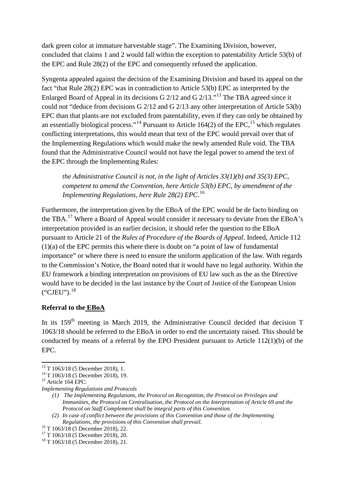dark green color at immature harvestable stage". The Examining Division, however, concluded that claims 1 and 2 would fall within the exception to patentability Article 53(b) of the EPC and Rule 28(2) of the EPC and consequently refused the application.

Syngenta appealed against the decision of the Examining Division and based its appeal on the fact "that Rule 28(2) EPC was in contradiction to Article 53(b) EPC as interpreted by the Enlarged Board of Appeal in its decisions G 2/12 and G 2/13."[13](#page-3-0) The TBA agreed since it could not "deduce from decisions G 2/12 and G 2/13 any other interpretation of Article 53(b) EPC than that plants are not excluded from patentability, even if they can only be obtained by an essentially biological process."<sup>[14](#page-3-1)</sup> Pursuant to Article 164(2) of the EPC,<sup>[15](#page-3-2)</sup> which regulates conflicting interpretations, this would mean that text of the EPC would prevail over that of the Implementing Regulations which would make the newly amended Rule void. The TBA found that the Administrative Council would not have the legal power to amend the text of the EPC through the Implementing Rules:

*the Administrative Council is not, in the light of Articles 33(1)(b) and 35(3) EPC, competent to amend the Convention, here Article 53(b) EPC, by amendment of the Implementing Regulations, here Rule 28(2) EPC*. [16](#page-3-3)

Furthermore, the interpretation given by the EBoA of the EPC would be de facto binding on the TBA.<sup>[17](#page-3-4)</sup> Where a Board of Appeal would consider it necessary to deviate from the EBoA's interpretation provided in an earlier decision, it should refer the question to the EBoA pursuant to Article 21 of the *Rules of Procedure of the Boards of Appeal*. Indeed, Article 112 (1)(a) of the EPC permits this where there is doubt on "a point of law of fundamental importance" or where there is need to ensure the uniform application of the law. With regards to the Commission's Notice, the Board noted that it would have no legal authority. Within the EU framework a binding interpretation on provisions of EU law such as the as the Directive would have to be decided in the last instance by the Court of Justice of the European Union  $("CJEU")$ .<sup>[18](#page-3-5)</sup>

#### **Referral to the EBoA**

In its 159<sup>th</sup> meeting in March 2019, the Administrative Council decided that decision T 1063/18 should be referred to the EBoA in order to end the uncertainty raised. This should be conducted by means of a referral by the EPO President pursuant to Article 112(1)(b) of the EPC.

<span id="page-3-1"></span><span id="page-3-0"></span><sup>&</sup>lt;sup>13</sup> T 1063/18 (5 December 2018), 1.<br><sup>14</sup> T 1063/18 (5 December 2018), 19.<br><sup>15</sup> Article 164 EPC:

<span id="page-3-2"></span>*Implementing Regulations and Protocols*

*<sup>(1)</sup> The Implementing Regulations, the Protocol on Recognition, the Protocol on Privileges and Immunities, the Protocol on Centralisation, the Protocol on the Interpretation of Article 69 and the Protocol on Staff Complement shall be integral parts of this Convention.* 

*<sup>(2)</sup> In case of conflict between the provisions of this Convention and those of the Implementing Regulations, the provisions of this Convention shall prevail.* <sup>16</sup> T 1063/18 (5 December 2018), 22.<br><sup>17</sup> T 1063/18 (5 December 2018), 20.<br><sup>18</sup> T 1063/18 (5 December 2018), 21.

<span id="page-3-4"></span><span id="page-3-3"></span>

<span id="page-3-5"></span>